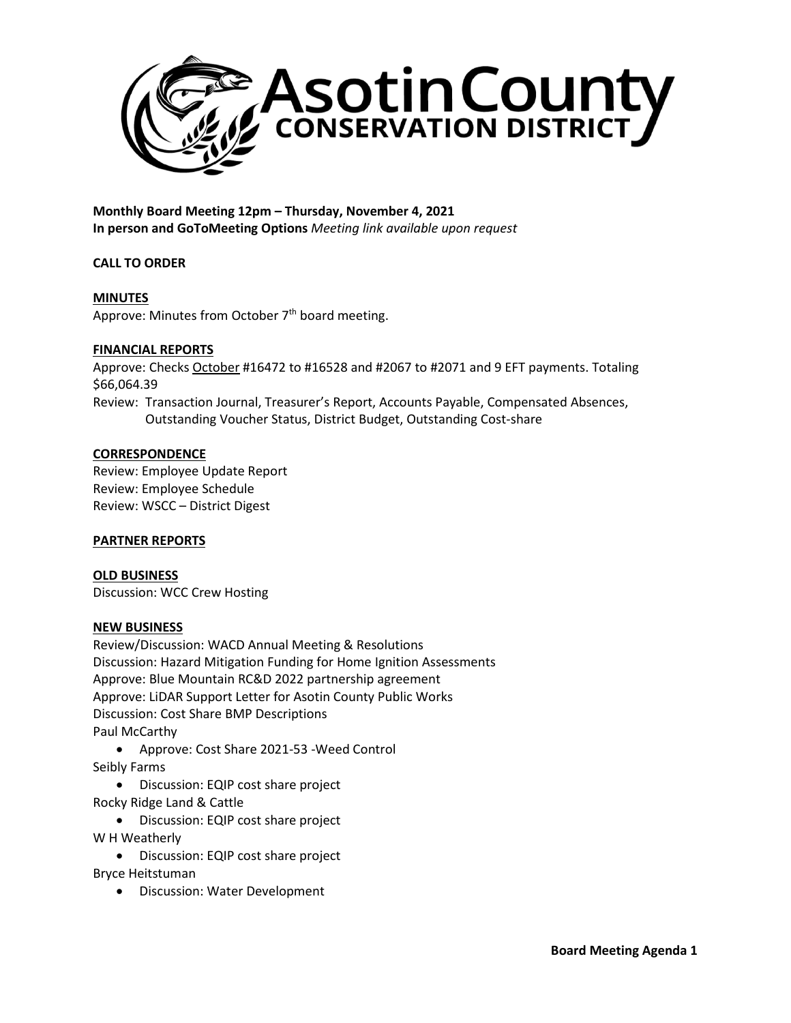

**Monthly Board Meeting 12pm – Thursday, November 4, 2021 In person and GoToMeeting Options** *Meeting link available upon request*

## **CALL TO ORDER**

# **MINUTES**

Approve: Minutes from October 7<sup>th</sup> board meeting.

### **FINANCIAL REPORTS**

Approve: Checks October #16472 to #16528 and #2067 to #2071 and 9 EFT payments. Totaling \$66,064.39

Review: Transaction Journal, Treasurer's Report, Accounts Payable, Compensated Absences, Outstanding Voucher Status, District Budget, Outstanding Cost-share

## **CORRESPONDENCE**

Review: Employee Update Report Review: Employee Schedule Review: WSCC – District Digest

## **PARTNER REPORTS**

**OLD BUSINESS** Discussion: WCC Crew Hosting

#### **NEW BUSINESS**

Review/Discussion: WACD Annual Meeting & Resolutions Discussion: Hazard Mitigation Funding for Home Ignition Assessments Approve: Blue Mountain RC&D 2022 partnership agreement Approve: LiDAR Support Letter for Asotin County Public Works Discussion: Cost Share BMP Descriptions Paul McCarthy

• Approve: Cost Share 2021-53 -Weed Control Seibly Farms

• Discussion: EQIP cost share project Rocky Ridge Land & Cattle

• Discussion: EQIP cost share project W H Weatherly

• Discussion: EQIP cost share project Bryce Heitstuman

• Discussion: Water Development